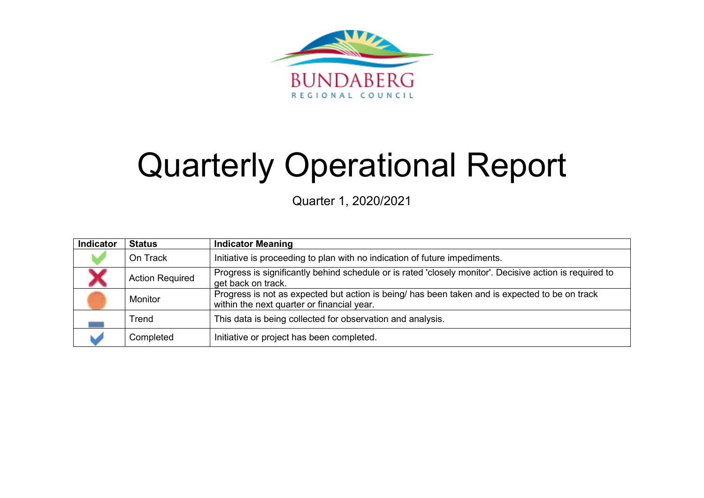

# Quarterly Operational Report

Quarter 1, 2020/2021

| Indicator | <b>Status</b>          | <b>Indicator Meaning</b>                                                                                                                     |
|-----------|------------------------|----------------------------------------------------------------------------------------------------------------------------------------------|
|           | On Track               | Initiative is proceeding to plan with no indication of future impediments.                                                                   |
|           | <b>Action Required</b> | Progress is significantly behind schedule or is rated 'closely monitor'. Decisive action is required to<br>get back on track.                |
|           | Monitor                | Progress is not as expected but action is being/ has been taken and is expected to be on track<br>within the next quarter or financial year. |
|           | Trend                  | This data is being collected for observation and analysis.                                                                                   |
|           | Completed              | Initiative or project has been completed.                                                                                                    |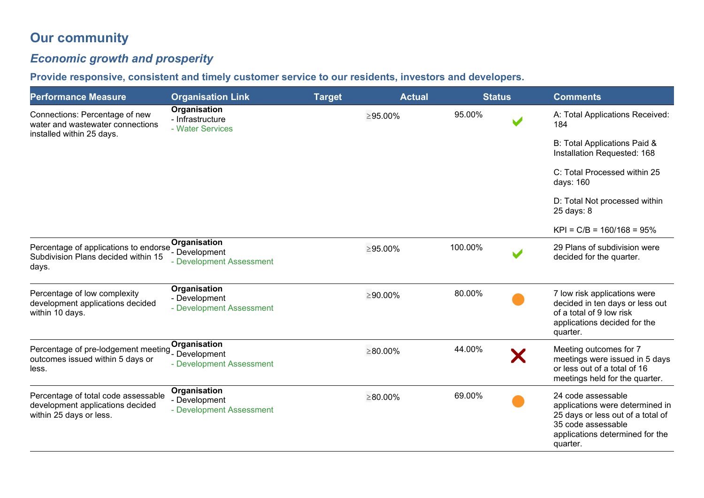# **Our community**

# *Economic growth and prosperity*

**Provide responsive, consistent and timely customer service to our residents, investors and developers.** 

| <b>Performance Measure</b>                                                                              | <b>Organisation Link</b>                                  | <b>Target</b> | <b>Actual</b>  | <b>Status</b> |   | <b>Comments</b>                                                                                                                                                 |
|---------------------------------------------------------------------------------------------------------|-----------------------------------------------------------|---------------|----------------|---------------|---|-----------------------------------------------------------------------------------------------------------------------------------------------------------------|
| Connections: Percentage of new<br>water and wastewater connections<br>installed within 25 days.         | Organisation<br>- Infrastructure<br>- Water Services      |               | $\geq$ 95.00%  | 95.00%        |   | A: Total Applications Received:<br>184                                                                                                                          |
|                                                                                                         |                                                           |               |                |               |   | B: Total Applications Paid &<br>Installation Requested: 168                                                                                                     |
|                                                                                                         |                                                           |               |                |               |   | C: Total Processed within 25<br>days: 160                                                                                                                       |
|                                                                                                         |                                                           |               |                |               |   | D: Total Not processed within<br>25 days: 8                                                                                                                     |
|                                                                                                         |                                                           |               |                |               |   | $KPI = C/B = 160/168 = 95%$                                                                                                                                     |
| Percentage of applications to endorse<br>Subdivision Plans decided within 15<br>days.                   | Organisation<br>- Development<br>- Development Assessment |               | $\geq$ 95.00%  | 100.00%       | V | 29 Plans of subdivision were<br>decided for the quarter.                                                                                                        |
| Percentage of low complexity<br>development applications decided<br>within 10 days.                     | Organisation<br>- Development<br>- Development Assessment |               | $\geq$ 90.00%  | 80.00%        |   | 7 low risk applications were<br>decided in ten days or less out<br>of a total of 9 low risk<br>applications decided for the<br>quarter.                         |
| Percentage of pre-lodgement meeting Specifical Development<br>outcomes issued within 5 days or<br>less. | Organisation<br>- Development Assessment                  |               | $\geq 80.00\%$ | 44.00%        | X | Meeting outcomes for 7<br>meetings were issued in 5 days<br>or less out of a total of 16<br>meetings held for the quarter.                                      |
| Percentage of total code assessable<br>development applications decided<br>within 25 days or less.      | Organisation<br>- Development<br>- Development Assessment |               | $\geq 80.00\%$ | 69.00%        |   | 24 code assessable<br>applications were determined in<br>25 days or less out of a total of<br>35 code assessable<br>applications determined for the<br>quarter. |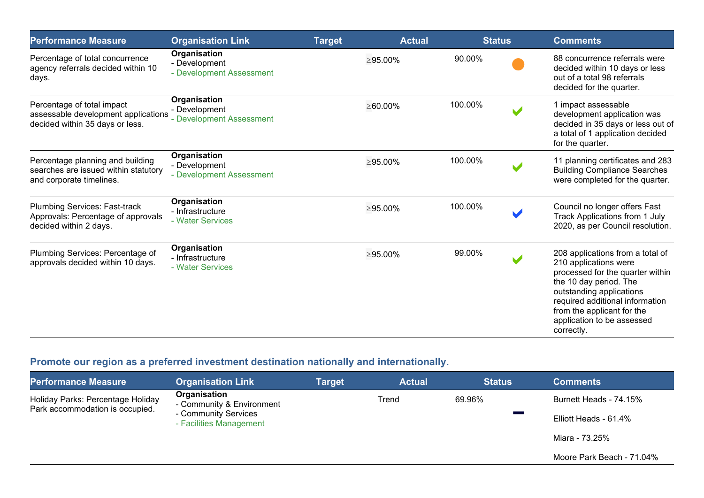| <b>Performance Measure</b>                                                                           | <b>Organisation Link</b>                                  | <b>Target</b> | <b>Actual</b>  | <b>Status</b> |                          | <b>Comments</b>                                                                                                                                                                                                                                                  |
|------------------------------------------------------------------------------------------------------|-----------------------------------------------------------|---------------|----------------|---------------|--------------------------|------------------------------------------------------------------------------------------------------------------------------------------------------------------------------------------------------------------------------------------------------------------|
| Percentage of total concurrence<br>agency referrals decided within 10<br>days.                       | Organisation<br>- Development<br>- Development Assessment |               | $\geq$ 95.00%  | 90.00%        |                          | 88 concurrence referrals were<br>decided within 10 days or less<br>out of a total 98 referrals<br>decided for the quarter.                                                                                                                                       |
| Percentage of total impact<br>assessable development applications<br>decided within 35 days or less. | Organisation<br>- Development<br>- Development Assessment |               | $\geq 60.00\%$ | 100.00%       |                          | 1 impact assessable<br>development application was<br>decided in 35 days or less out of<br>a total of 1 application decided<br>for the quarter.                                                                                                                  |
| Percentage planning and building<br>searches are issued within statutory<br>and corporate timelines. | Organisation<br>- Development<br>- Development Assessment |               | $\geq$ 95.00%  | 100.00%       |                          | 11 planning certificates and 283<br><b>Building Compliance Searches</b><br>were completed for the quarter.                                                                                                                                                       |
| Plumbing Services: Fast-track<br>Approvals: Percentage of approvals<br>decided within 2 days.        | Organisation<br>- Infrastructure<br>- Water Services      |               | $\geq$ 95.00%  | 100.00%       |                          | Council no longer offers Fast<br>Track Applications from 1 July<br>2020, as per Council resolution.                                                                                                                                                              |
| Plumbing Services: Percentage of<br>approvals decided within 10 days.                                | Organisation<br>- Infrastructure<br>- Water Services      |               | $\geq 95.00\%$ | 99.00%        | $\overline{\phantom{a}}$ | 208 applications from a total of<br>210 applications were<br>processed for the quarter within<br>the 10 day period. The<br>outstanding applications<br>required additional information<br>from the applicant for the<br>application to be assessed<br>correctly. |

## **Promote our region as a preferred investment destination nationally and internationally.**

| <b>Performance Measure</b>                                           | <b>Organisation Link</b>                        | <b>Target</b> | <b>Actual</b> | <b>Status</b> | Comments                  |
|----------------------------------------------------------------------|-------------------------------------------------|---------------|---------------|---------------|---------------------------|
| Holiday Parks: Percentage Holiday<br>Park accommodation is occupied. | Organisation<br>- Community & Environment       |               | Trend         | 69.96%        | Burnett Heads - 74.15%    |
|                                                                      | - Community Services<br>- Facilities Management |               |               |               | Elliott Heads - 61.4%     |
|                                                                      |                                                 |               |               |               | Miara - 73.25%            |
|                                                                      |                                                 |               |               |               | Moore Park Beach - 71.04% |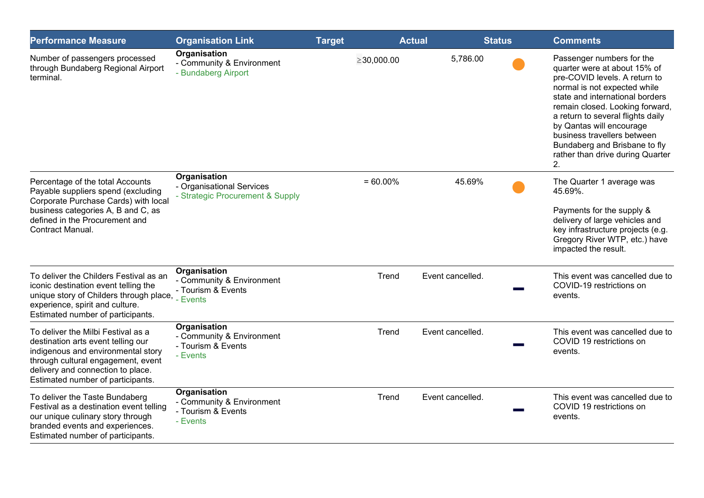| <b>Performance Measure</b>                                                                                                                                                                                                     | <b>Organisation Link</b>                                                             | <b>Target</b>    | <b>Actual</b> | <b>Status</b>    |  | <b>Comments</b>                                                                                                                                                                                                                                                                                                                                                             |  |
|--------------------------------------------------------------------------------------------------------------------------------------------------------------------------------------------------------------------------------|--------------------------------------------------------------------------------------|------------------|---------------|------------------|--|-----------------------------------------------------------------------------------------------------------------------------------------------------------------------------------------------------------------------------------------------------------------------------------------------------------------------------------------------------------------------------|--|
| Number of passengers processed<br>through Bundaberg Regional Airport<br>terminal.                                                                                                                                              | Organisation<br>- Community & Environment<br>- Bundaberg Airport                     | $\geq$ 30,000.00 |               | 5,786.00         |  | Passenger numbers for the<br>quarter were at about 15% of<br>pre-COVID levels. A return to<br>normal is not expected while<br>state and international borders<br>remain closed. Looking forward,<br>a return to several flights daily<br>by Qantas will encourage<br>business travellers between<br>Bundaberg and Brisbane to fly<br>rather than drive during Quarter<br>2. |  |
| Percentage of the total Accounts<br>Payable suppliers spend (excluding<br>Corporate Purchase Cards) with local<br>business categories A, B and C, as<br>defined in the Procurement and<br>Contract Manual.                     | <b>Organisation</b><br>- Organisational Services<br>- Strategic Procurement & Supply | $= 60.00\%$      |               | 45.69%           |  | The Quarter 1 average was<br>45.69%.<br>Payments for the supply &<br>delivery of large vehicles and<br>key infrastructure projects (e.g.<br>Gregory River WTP, etc.) have<br>impacted the result.                                                                                                                                                                           |  |
| To deliver the Childers Festival as an<br>iconic destination event telling the<br>unique story of Childers through place,<br>experience, spirit and culture.<br>Estimated number of participants.                              | <b>Organisation</b><br>- Community & Environment<br>- Tourism & Events<br>Events     |                  | Trend         | Event cancelled. |  | This event was cancelled due to<br>COVID-19 restrictions on<br>events.                                                                                                                                                                                                                                                                                                      |  |
| To deliver the Milbi Festival as a<br>destination arts event telling our<br>indigenous and environmental story<br>through cultural engagement, event<br>delivery and connection to place.<br>Estimated number of participants. | Organisation<br>- Community & Environment<br>- Tourism & Events<br>- Events          |                  | Trend         | Event cancelled. |  | This event was cancelled due to<br>COVID 19 restrictions on<br>events.                                                                                                                                                                                                                                                                                                      |  |
| To deliver the Taste Bundaberg<br>Festival as a destination event telling<br>our unique culinary story through<br>branded events and experiences.<br>Estimated number of participants.                                         | Organisation<br>- Community & Environment<br>- Tourism & Events<br>- Events          |                  | Trend         | Event cancelled. |  | This event was cancelled due to<br>COVID 19 restrictions on<br>events.                                                                                                                                                                                                                                                                                                      |  |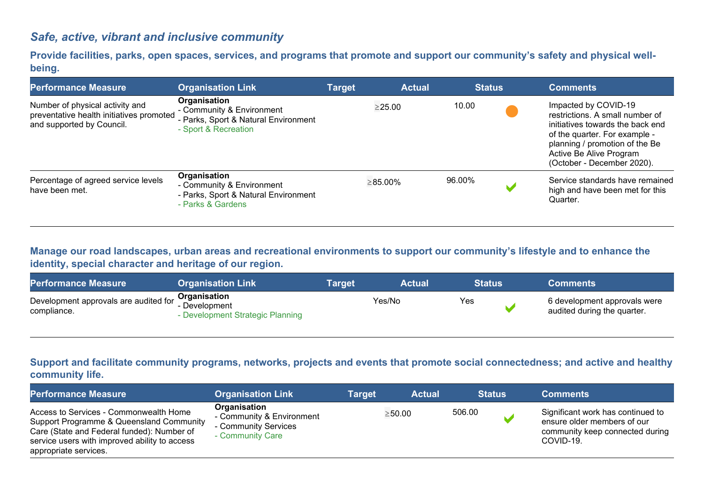## *Safe, active, vibrant and inclusive community*

**Provide facilities, parks, open spaces, services, and programs that promote and support our community's safety and physical wellbeing.**

| <b>Performance Measure</b>                                                                               | <b>Organisation Link</b>                                                                                  | <b>Target</b> | <b>Actual</b>  | <b>Status</b> | <b>Comments</b>                                                                                                                                                                                                         |
|----------------------------------------------------------------------------------------------------------|-----------------------------------------------------------------------------------------------------------|---------------|----------------|---------------|-------------------------------------------------------------------------------------------------------------------------------------------------------------------------------------------------------------------------|
| Number of physical activity and<br>preventative health initiatives promoted<br>and supported by Council. | Organisation<br>- Community & Environment<br>- Parks, Sport & Natural Environment<br>- Sport & Recreation |               | $\geq$ 25.00   | 10.00         | Impacted by COVID-19<br>restrictions. A small number of<br>initiatives towards the back end<br>of the quarter. For example -<br>planning / promotion of the Be<br>Active Be Alive Program<br>(October - December 2020). |
| Percentage of agreed service levels<br>have been met.                                                    | Organisation<br>- Community & Environment<br>- Parks, Sport & Natural Environment<br>- Parks & Gardens    |               | $\geq 85.00\%$ | 96.00%        | Service standards have remained<br>high and have been met for this<br>Quarter.                                                                                                                                          |

**Manage our road landscapes, urban areas and recreational environments to support our community's lifestyle and to enhance the identity, special character and heritage of our region.**

| <b>Performance Measure</b>                           | <b>Organisation Link</b>                                          | Target | <b>Actual</b> | Status | <b>Comments</b>                                             |
|------------------------------------------------------|-------------------------------------------------------------------|--------|---------------|--------|-------------------------------------------------------------|
| Development approvals are audited for<br>compliance. | Organisation<br>- Development<br>- Development Strategic Planning |        | Yes/No        | Yes    | 6 development approvals were<br>audited during the quarter. |

#### **Support and facilitate community programs, networks, projects and events that promote social connectedness; and active and healthy community life.**

| <b>Performance Measure</b>                                                                                                                                                                                 | <b>Organisation Link</b>                                                              | <b>Target</b> | <b>Actual</b> | <b>Status</b> | <b>Comments</b>                                                                                                  |
|------------------------------------------------------------------------------------------------------------------------------------------------------------------------------------------------------------|---------------------------------------------------------------------------------------|---------------|---------------|---------------|------------------------------------------------------------------------------------------------------------------|
| Access to Services - Commonwealth Home<br>Support Programme & Queensland Community<br>Care (State and Federal funded): Number of<br>service users with improved ability to access<br>appropriate services. | Organisation<br>- Community & Environment<br>- Community Services<br>- Community Care |               | $\geq$ 50.00  | 506.00        | Significant work has continued to<br>ensure older members of our<br>community keep connected during<br>COVID-19. |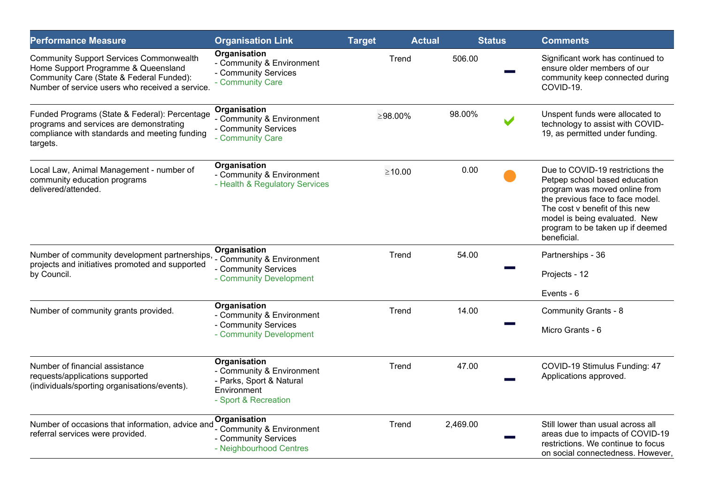| <b>Performance Measure</b>                                                                                                                                                           | <b>Organisation Link</b>                                                                                     | <b>Target</b> | <b>Actual</b> |          | <b>Status</b> | <b>Comments</b>                                                                                                                                                                                                                                              |
|--------------------------------------------------------------------------------------------------------------------------------------------------------------------------------------|--------------------------------------------------------------------------------------------------------------|---------------|---------------|----------|---------------|--------------------------------------------------------------------------------------------------------------------------------------------------------------------------------------------------------------------------------------------------------------|
| <b>Community Support Services Commonwealth</b><br>Home Support Programme & Queensland<br>Community Care (State & Federal Funded):<br>Number of service users who received a service. | Organisation<br>- Community & Environment<br>- Community Services<br>- Community Care                        | Trend         |               | 506.00   |               | Significant work has continued to<br>ensure older members of our<br>community keep connected during<br>COVID-19.                                                                                                                                             |
| Funded Programs (State & Federal): Percentage<br>programs and services are demonstrating<br>compliance with standards and meeting funding<br>targets.                                | Organisation<br>- Community & Environment<br>- Community Services<br>- Community Care                        | ≥98.00%       |               | 98.00%   |               | Unspent funds were allocated to<br>technology to assist with COVID-<br>19, as permitted under funding.                                                                                                                                                       |
| Local Law, Animal Management - number of<br>community education programs<br>delivered/attended.                                                                                      | Organisation<br>- Community & Environment<br>- Health & Regulatory Services                                  | $\geq 10.00$  |               | 0.00     |               | Due to COVID-19 restrictions the<br>Petpep school based education<br>program was moved online from<br>the previous face to face model.<br>The cost v benefit of this new<br>model is being evaluated. New<br>program to be taken up if deemed<br>beneficial. |
| Number of community development partnerships,<br>projects and initiatives promoted and supported<br>by Council.                                                                      | Organisation<br>- Community & Environment<br>- Community Services<br>- Community Development                 | Trend         |               | 54.00    |               | Partnerships - 36<br>Projects - 12                                                                                                                                                                                                                           |
|                                                                                                                                                                                      |                                                                                                              |               |               |          |               | Events - 6                                                                                                                                                                                                                                                   |
| Number of community grants provided.                                                                                                                                                 | Organisation<br>- Community & Environment<br>- Community Services<br>- Community Development                 | Trend         |               | 14.00    |               | <b>Community Grants - 8</b><br>Micro Grants - 6                                                                                                                                                                                                              |
| Number of financial assistance<br>requests/applications supported<br>(individuals/sporting organisations/events).                                                                    | Organisation<br>- Community & Environment<br>- Parks, Sport & Natural<br>Environment<br>- Sport & Recreation | Trend         |               | 47.00    |               | COVID-19 Stimulus Funding: 47<br>Applications approved.                                                                                                                                                                                                      |
| Number of occasions that information, advice and<br>referral services were provided.                                                                                                 | Organisation<br>- Community & Environment<br>- Community Services<br>- Neighbourhood Centres                 | Trend         |               | 2,469.00 |               | Still lower than usual across all<br>areas due to impacts of COVID-19<br>restrictions. We continue to focus<br>on social connectedness. However,                                                                                                             |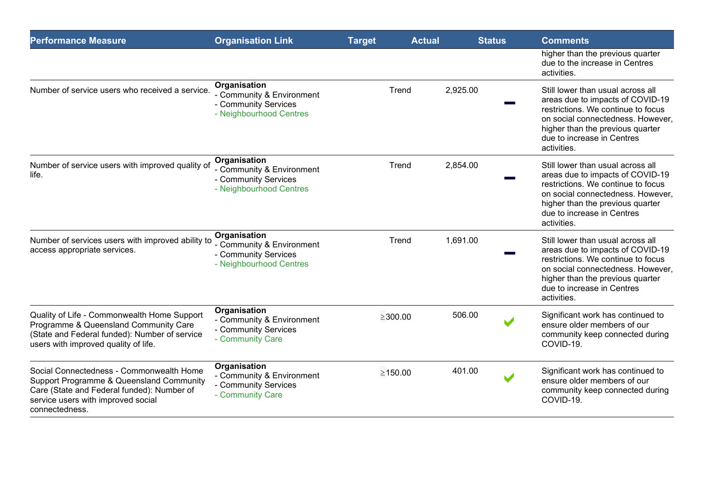| <b>Performance Measure</b>                                                                                                                                                                 | <b>Organisation Link</b>                                                                     | <b>Target</b> | <b>Actual</b> | <b>Status</b> |   | <b>Comments</b>                                                                                                                                                                                                                   |
|--------------------------------------------------------------------------------------------------------------------------------------------------------------------------------------------|----------------------------------------------------------------------------------------------|---------------|---------------|---------------|---|-----------------------------------------------------------------------------------------------------------------------------------------------------------------------------------------------------------------------------------|
|                                                                                                                                                                                            |                                                                                              |               |               |               |   | higher than the previous quarter<br>due to the increase in Centres<br>activities.                                                                                                                                                 |
| Number of service users who received a service.                                                                                                                                            | Organisation<br>- Community & Environment<br>- Community Services<br>- Neighbourhood Centres |               | Trend         | 2,925.00      |   | Still lower than usual across all<br>areas due to impacts of COVID-19<br>restrictions. We continue to focus<br>on social connectedness. However,<br>higher than the previous quarter<br>due to increase in Centres<br>activities. |
| Number of service users with improved quality of<br>life.                                                                                                                                  | Organisation<br>- Community & Environment<br>- Community Services<br>- Neighbourhood Centres |               | Trend         | 2,854.00      |   | Still lower than usual across all<br>areas due to impacts of COVID-19<br>restrictions. We continue to focus<br>on social connectedness. However,<br>higher than the previous quarter<br>due to increase in Centres<br>activities. |
| Number of services users with improved ability to<br>access appropriate services.                                                                                                          | Organisation<br>- Community & Environment<br>- Community Services<br>- Neighbourhood Centres |               | Trend         | 1,691.00      |   | Still lower than usual across all<br>areas due to impacts of COVID-19<br>restrictions. We continue to focus<br>on social connectedness. However,<br>higher than the previous quarter<br>due to increase in Centres<br>activities. |
| Quality of Life - Commonwealth Home Support<br>Programme & Queensland Community Care<br>(State and Federal funded): Number of service<br>users with improved quality of life.              | Organisation<br>- Community & Environment<br>- Community Services<br>- Community Care        | $\geq$ 300.00 |               | 506.00        |   | Significant work has continued to<br>ensure older members of our<br>community keep connected during<br>COVID-19.                                                                                                                  |
| Social Connectedness - Commonwealth Home<br>Support Programme & Queensland Community<br>Care (State and Federal funded): Number of<br>service users with improved social<br>connectedness. | Organisation<br>- Community & Environment<br>- Community Services<br>- Community Care        | $\geq 150.00$ |               | 401.00        | V | Significant work has continued to<br>ensure older members of our<br>community keep connected during<br>COVID-19                                                                                                                   |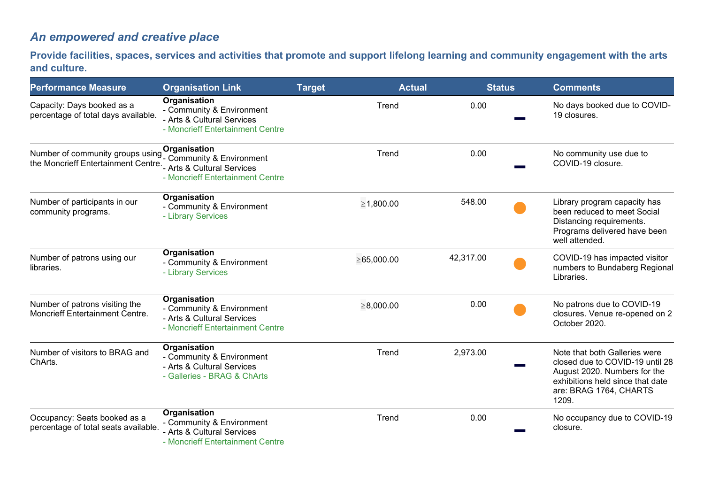## *An empowered and creative place*

**Provide facilities, spaces, services and activities that promote and support lifelong learning and community engagement with the arts and culture.**

| <b>Performance Measure</b>                                                                                               | <b>Organisation Link</b>                                                                                    | <b>Target</b> | <b>Actual</b>    | <b>Status</b> | <b>Comments</b>                                                                                                                                                         |
|--------------------------------------------------------------------------------------------------------------------------|-------------------------------------------------------------------------------------------------------------|---------------|------------------|---------------|-------------------------------------------------------------------------------------------------------------------------------------------------------------------------|
| Capacity: Days booked as a<br>percentage of total days available.                                                        | Organisation<br>- Community & Environment<br>- Arts & Cultural Services<br>- Moncrieff Entertainment Centre |               | Trend            | 0.00          | No days booked due to COVID-<br>19 closures.                                                                                                                            |
| Number of community groups using Community & Environment<br>the Moncrieff Entertainment Centre. Arts & Cultural Services | Organisation<br>- Moncrieff Entertainment Centre                                                            |               | Trend            | 0.00          | No community use due to<br>COVID-19 closure.                                                                                                                            |
| Number of participants in our<br>community programs.                                                                     | Organisation<br>- Community & Environment<br>- Library Services                                             |               | ≥1,800.00        | 548.00        | Library program capacity has<br>been reduced to meet Social<br>Distancing requirements.<br>Programs delivered have been<br>well attended.                               |
| Number of patrons using our<br>libraries.                                                                                | <b>Organisation</b><br>- Community & Environment<br>- Library Services                                      |               | $\geq 65,000.00$ | 42,317.00     | COVID-19 has impacted visitor<br>numbers to Bundaberg Regional<br>Libraries.                                                                                            |
| Number of patrons visiting the<br>Moncrieff Entertainment Centre.                                                        | Organisation<br>- Community & Environment<br>- Arts & Cultural Services<br>- Moncrieff Entertainment Centre |               | $\geq 8,000.00$  | 0.00          | No patrons due to COVID-19<br>closures. Venue re-opened on 2<br>October 2020.                                                                                           |
| Number of visitors to BRAG and<br>ChArts.                                                                                | Organisation<br>- Community & Environment<br>- Arts & Cultural Services<br>- Galleries - BRAG & ChArts      |               | Trend            | 2,973.00      | Note that both Galleries were<br>closed due to COVID-19 until 28<br>August 2020. Numbers for the<br>exhibitions held since that date<br>are: BRAG 1764, CHARTS<br>1209. |
| Occupancy: Seats booked as a<br>percentage of total seats available.                                                     | Organisation<br>- Community & Environment<br>- Arts & Cultural Services<br>- Moncrieff Entertainment Centre |               | Trend            | 0.00          | No occupancy due to COVID-19<br>closure.                                                                                                                                |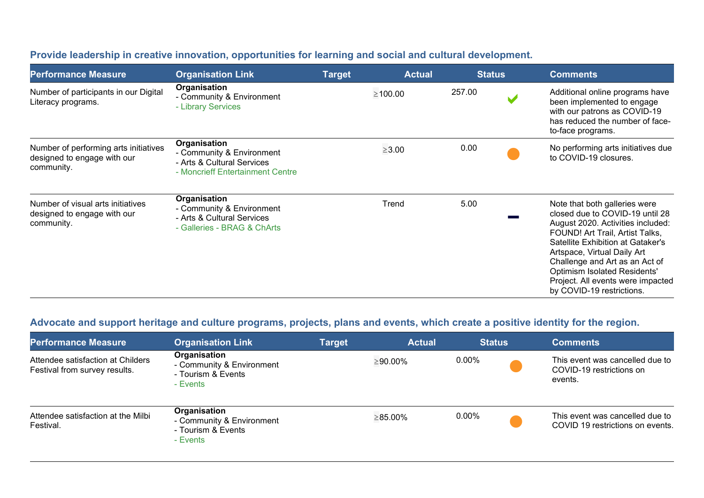| <b>Performance Measure</b>                                                         | <b>Organisation Link</b>                                                                                    | <b>Target</b> | <b>Actual</b> | <u>  S</u> tatus | <b>Comments</b>                                                                                                                                                                                                                                                                                                                                         |
|------------------------------------------------------------------------------------|-------------------------------------------------------------------------------------------------------------|---------------|---------------|------------------|---------------------------------------------------------------------------------------------------------------------------------------------------------------------------------------------------------------------------------------------------------------------------------------------------------------------------------------------------------|
| Number of participants in our Digital<br>Literacy programs.                        | Organisation<br>- Community & Environment<br>- Library Services                                             |               | $\geq 100.00$ | 257.00           | Additional online programs have<br>been implemented to engage<br>with our patrons as COVID-19<br>has reduced the number of face-<br>to-face programs.                                                                                                                                                                                                   |
| Number of performing arts initiatives<br>designed to engage with our<br>community. | Organisation<br>- Community & Environment<br>- Arts & Cultural Services<br>- Moncrieff Entertainment Centre |               | $\geq$ 3.00   | 0.00             | No performing arts initiatives due<br>to COVID-19 closures.                                                                                                                                                                                                                                                                                             |
| Number of visual arts initiatives<br>designed to engage with our<br>community.     | Organisation<br>- Community & Environment<br>- Arts & Cultural Services<br>- Galleries - BRAG & ChArts      |               | Trend         | 5.00             | Note that both galleries were<br>closed due to COVID-19 until 28<br>August 2020. Activities included:<br>FOUND! Art Trail, Artist Talks,<br>Satellite Exhibition at Gataker's<br>Artspace, Virtual Daily Art<br>Challenge and Art as an Act of<br><b>Optimism Isolated Residents'</b><br>Project. All events were impacted<br>by COVID-19 restrictions. |

#### **Provide leadership in creative innovation, opportunities for learning and social and cultural development.**

## **Advocate and support heritage and culture programs, projects, plans and events, which create a positive identity for the region.**

| <b>Performance Measure</b>                                         | <b>Organisation Link</b>                                                    | Target | <b>Actual</b>  | <b>Status</b> | <b>Comments</b>                                                        |
|--------------------------------------------------------------------|-----------------------------------------------------------------------------|--------|----------------|---------------|------------------------------------------------------------------------|
| Attendee satisfaction at Childers<br>Festival from survey results. | Organisation<br>- Community & Environment<br>- Tourism & Events<br>- Events |        | $\geq 90.00\%$ | $0.00\%$      | This event was cancelled due to<br>COVID-19 restrictions on<br>events. |
| Attendee satisfaction at the Milbi<br>Festival.                    | Organisation<br>- Community & Environment<br>- Tourism & Events<br>- Events |        | $\geq 85.00\%$ | 0.00%         | This event was cancelled due to<br>COVID 19 restrictions on events.    |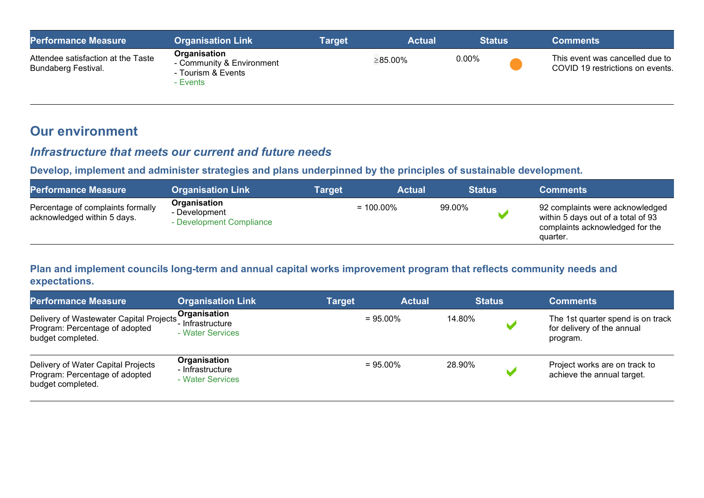| <b>Performance Measure</b>                                | <b>Organisation Link</b>                                                    | Target | <b>Actual</b> |       | <b>Status</b> | <b>Comments</b>                                                     |
|-----------------------------------------------------------|-----------------------------------------------------------------------------|--------|---------------|-------|---------------|---------------------------------------------------------------------|
| Attendee satisfaction at the Taste<br>Bundaberg Festival. | Organisation<br>- Community & Environment<br>- Tourism & Events<br>- Events |        | ≥85.00%       | 0.00% |               | This event was cancelled due to<br>COVID 19 restrictions on events. |

## **Our environment**

#### *Infrastructure that meets our current and future needs*

**Develop, implement and administer strategies and plans underpinned by the principles of sustainable development.** 

| <b>Performance Measure</b>                                       | <b>Organisation Link</b>                                  | <b>Target</b> | <b>Actual</b> | <b>Status</b> | <b>Comments</b>                                                                                                      |
|------------------------------------------------------------------|-----------------------------------------------------------|---------------|---------------|---------------|----------------------------------------------------------------------------------------------------------------------|
| Percentage of complaints formally<br>acknowledged within 5 days. | Organisation<br>- Development<br>- Development Compliance |               | $= 100.00\%$  | 99.00%        | 92 complaints were acknowledged<br>within 5 days out of a total of 93<br>complaints acknowledged for the<br>quarter. |

#### **Plan and implement councils long-term and annual capital works improvement program that reflects community needs and expectations.**

| <b>Performance Measure</b>                                                                     | <b>Organisation Link</b>                              | <b>Target</b> | <b>Actual</b> | <b>Status</b> | <b>Comments</b>                                                             |
|------------------------------------------------------------------------------------------------|-------------------------------------------------------|---------------|---------------|---------------|-----------------------------------------------------------------------------|
| Delivery of Wastewater Capital Projects<br>Program: Percentage of adopted<br>budget completed. | Organisation<br>'- Infrastructure<br>- Water Services | $= 95.00\%$   |               | 14.80%        | The 1st quarter spend is on track<br>for delivery of the annual<br>program. |
| Delivery of Water Capital Projects<br>Program: Percentage of adopted<br>budget completed.      | Organisation<br>- Infrastructure<br>- Water Services  | $= 95.00\%$   |               | 28.90%        | Project works are on track to<br>achieve the annual target.                 |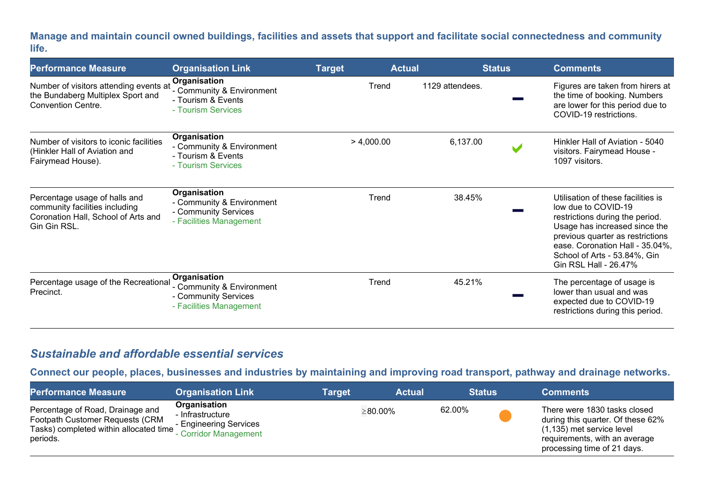**Manage and maintain council owned buildings, facilities and assets that support and facilitate social connectedness and community life.** 

| <b>Performance Measure</b>                                                                                             | <b>Organisation Link</b>                                                                     | <b>Actual</b><br><b>Target</b> | <b>Status</b>   | <b>Comments</b>                                                                                                                                                                                                                                               |
|------------------------------------------------------------------------------------------------------------------------|----------------------------------------------------------------------------------------------|--------------------------------|-----------------|---------------------------------------------------------------------------------------------------------------------------------------------------------------------------------------------------------------------------------------------------------------|
| Number of visitors attending events at<br>the Bundaberg Multiplex Sport and<br><b>Convention Centre.</b>               | Organisation<br>- Community & Environment<br>- Tourism & Events<br>- Tourism Services        | Trend                          | 1129 attendees. | Figures are taken from hirers at<br>the time of booking. Numbers<br>are lower for this period due to<br>COVID-19 restrictions.                                                                                                                                |
| Number of visitors to iconic facilities<br>(Hinkler Hall of Aviation and<br>Fairymead House).                          | Organisation<br>- Community & Environment<br>- Tourism & Events<br>- Tourism Services        | > 4,000.00                     | 6,137.00<br>V   | Hinkler Hall of Aviation - 5040<br>visitors. Fairymead House -<br>1097 visitors.                                                                                                                                                                              |
| Percentage usage of halls and<br>community facilities including<br>Coronation Hall, School of Arts and<br>Gin Gin RSL. | Organisation<br>- Community & Environment<br>- Community Services<br>- Facilities Management | Trend                          | 38.45%          | Utilisation of these facilities is<br>low due to COVID-19<br>restrictions during the period.<br>Usage has increased since the<br>previous quarter as restrictions<br>ease. Coronation Hall - 35.04%,<br>School of Arts - 53.84%, Gin<br>Gin RSL Hall - 26.47% |
| Percentage usage of the Recreational<br>Precinct.                                                                      | Organisation<br>- Community & Environment<br>- Community Services<br>- Facilities Management | Trend                          | 45.21%          | The percentage of usage is<br>lower than usual and was<br>expected due to COVID-19<br>restrictions during this period.                                                                                                                                        |

## *Sustainable and affordable essential services*

**Connect our people, places, businesses and industries by maintaining and improving road transport, pathway and drainage networks.** 

| <b>Performance Measure</b>                                                                                                | <b>Organisation Link</b>                                                              | <b>Target</b> | <b>Actual</b>  |        | <b>Status</b> | <b>Comments</b>                                                                                                                                                |
|---------------------------------------------------------------------------------------------------------------------------|---------------------------------------------------------------------------------------|---------------|----------------|--------|---------------|----------------------------------------------------------------------------------------------------------------------------------------------------------------|
| Percentage of Road, Drainage and<br>Footpath Customer Requests (CRM<br>Tasks) completed within allocated time<br>periods. | Organisation<br>- Infrastructure<br>- Engineering Services<br>' - Corridor Management |               | $\geq 80.00\%$ | 62.00% |               | There were 1830 tasks closed<br>during this quarter. Of these 62%<br>(1,135) met service level<br>requirements, with an average<br>processing time of 21 days. |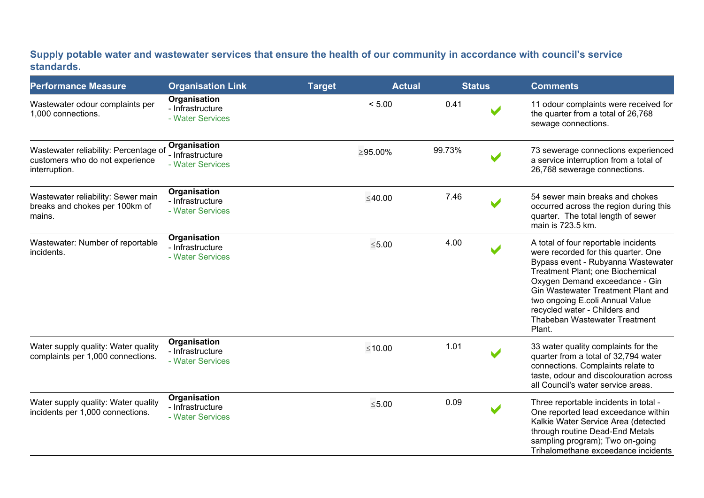#### **Supply potable water and wastewater services that ensure the health of our community in accordance with council's service standards.**

| <b>Performance Measure</b>                                                                | <b>Organisation Link</b>                             | <b>Target</b> | <b>Actual</b>  |        | <b>Status</b> | <b>Comments</b>                                                                                                                                                                                                                                                                                                                              |
|-------------------------------------------------------------------------------------------|------------------------------------------------------|---------------|----------------|--------|---------------|----------------------------------------------------------------------------------------------------------------------------------------------------------------------------------------------------------------------------------------------------------------------------------------------------------------------------------------------|
| Wastewater odour complaints per<br>1,000 connections.                                     | Organisation<br>- Infrastructure<br>- Water Services |               | < 5.00         | 0.41   |               | 11 odour complaints were received for<br>the quarter from a total of 26,768<br>sewage connections.                                                                                                                                                                                                                                           |
| Wastewater reliability: Percentage of<br>customers who do not experience<br>interruption. | Organisation<br>- Infrastructure<br>- Water Services |               | $\geq 95.00\%$ | 99.73% |               | 73 sewerage connections experienced<br>a service interruption from a total of<br>26,768 sewerage connections.                                                                                                                                                                                                                                |
| Wastewater reliability: Sewer main<br>breaks and chokes per 100km of<br>mains.            | Organisation<br>- Infrastructure<br>- Water Services |               | ≤40.00         | 7.46   |               | 54 sewer main breaks and chokes<br>occurred across the region during this<br>quarter. The total length of sewer<br>main is 723.5 km.                                                                                                                                                                                                         |
| Wastewater: Number of reportable<br>incidents.                                            | Organisation<br>- Infrastructure<br>- Water Services |               | $≤ 5.00$       | 4.00   |               | A total of four reportable incidents<br>were recorded for this quarter. One<br>Bypass event - Rubyanna Wastewater<br>Treatment Plant; one Biochemical<br>Oxygen Demand exceedance - Gin<br>Gin Wastewater Treatment Plant and<br>two ongoing E.coli Annual Value<br>recycled water - Childers and<br>Thabeban Wastewater Treatment<br>Plant. |
| Water supply quality: Water quality<br>complaints per 1,000 connections.                  | Organisation<br>- Infrastructure<br>- Water Services |               | $≤10.00$       | 1.01   |               | 33 water quality complaints for the<br>quarter from a total of 32,794 water<br>connections. Complaints relate to<br>taste, odour and discolouration across<br>all Council's water service areas.                                                                                                                                             |
| Water supply quality: Water quality<br>incidents per 1,000 connections.                   | Organisation<br>- Infrastructure<br>- Water Services |               | $≤5.00$        | 0.09   |               | Three reportable incidents in total -<br>One reported lead exceedance within<br>Kalkie Water Service Area (detected<br>through routine Dead-End Metals<br>sampling program); Two on-going<br>Trihalomethane exceedance incidents                                                                                                             |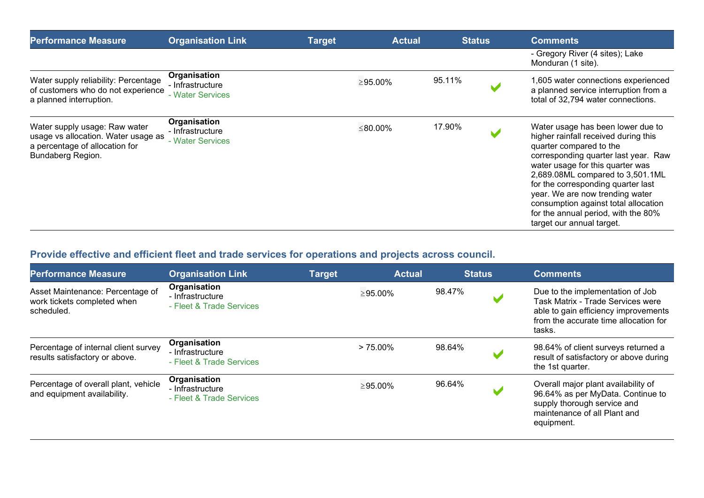| <b>Performance Measure</b>                                                                                                  | <b>Organisation Link</b>                             | <b>Target</b> | <b>Actual</b> |        | <b>Status</b> | <b>Comments</b>                                                                                                                                                                                                                                                                                                                                                                                           |
|-----------------------------------------------------------------------------------------------------------------------------|------------------------------------------------------|---------------|---------------|--------|---------------|-----------------------------------------------------------------------------------------------------------------------------------------------------------------------------------------------------------------------------------------------------------------------------------------------------------------------------------------------------------------------------------------------------------|
|                                                                                                                             |                                                      |               |               |        |               | - Gregory River (4 sites); Lake<br>Monduran (1 site).                                                                                                                                                                                                                                                                                                                                                     |
| Water supply reliability: Percentage<br>of customers who do not experience<br>a planned interruption.                       | Organisation<br>- Infrastructure<br>- Water Services |               | $\geq$ 95.00% | 95.11% |               | 1,605 water connections experienced<br>a planned service interruption from a<br>total of 32,794 water connections.                                                                                                                                                                                                                                                                                        |
| Water supply usage: Raw water<br>usage vs allocation. Water usage as<br>a percentage of allocation for<br>Bundaberg Region. | Organisation<br>- Infrastructure<br>- Water Services |               | ≤80.00%       | 17.90% |               | Water usage has been lower due to<br>higher rainfall received during this<br>quarter compared to the<br>corresponding quarter last year. Raw<br>water usage for this quarter was<br>2,689.08ML compared to 3,501.1ML<br>for the corresponding quarter last<br>year. We are now trending water<br>consumption against total allocation<br>for the annual period, with the 80%<br>target our annual target. |

## **Provide effective and efficient fleet and trade services for operations and projects across council.**

| <b>Performance Measure</b>                                                    | <b>Organisation Link</b>                                     | <b>Target</b> | <b>Actual</b> |        | <b>Status</b> | <b>Comments</b>                                                                                                                                                  |
|-------------------------------------------------------------------------------|--------------------------------------------------------------|---------------|---------------|--------|---------------|------------------------------------------------------------------------------------------------------------------------------------------------------------------|
| Asset Maintenance: Percentage of<br>work tickets completed when<br>scheduled. | Organisation<br>- Infrastructure<br>- Fleet & Trade Services |               | $\geq$ 95.00% | 98.47% |               | Due to the implementation of Job<br>Task Matrix - Trade Services were<br>able to gain efficiency improvements<br>from the accurate time allocation for<br>tasks. |
| Percentage of internal client survey<br>results satisfactory or above.        | Organisation<br>- Infrastructure<br>- Fleet & Trade Services |               | $> 75.00\%$   | 98.64% |               | 98.64% of client surveys returned a<br>result of satisfactory or above during<br>the 1st quarter.                                                                |
| Percentage of overall plant, vehicle<br>and equipment availability.           | Organisation<br>- Infrastructure<br>- Fleet & Trade Services |               | $\geq$ 95.00% | 96.64% |               | Overall major plant availability of<br>96.64% as per MyData. Continue to<br>supply thorough service and<br>maintenance of all Plant and<br>equipment.            |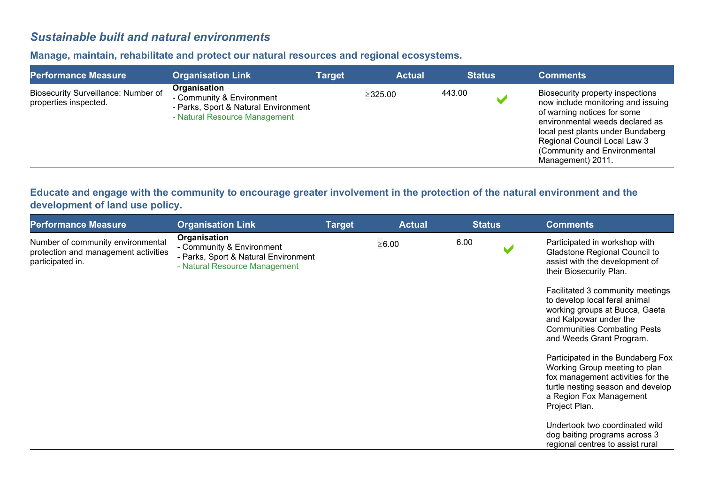## *Sustainable built and natural environments*

#### **Manage, maintain, rehabilitate and protect our natural resources and regional ecosystems.**

| <b>Performance Measure</b>                                   | <b>Organisation Link</b>                                                                                           | Target | <b>Actual</b> | <b>Status</b> | <b>Comments</b>                                                                                                                                                                                                                                                    |
|--------------------------------------------------------------|--------------------------------------------------------------------------------------------------------------------|--------|---------------|---------------|--------------------------------------------------------------------------------------------------------------------------------------------------------------------------------------------------------------------------------------------------------------------|
| Biosecurity Surveillance: Number of<br>properties inspected. | Organisation<br>- Community & Environment<br>- Parks, Sport & Natural Environment<br>- Natural Resource Management |        | $\geq$ 325.00 | 443.00        | Biosecurity property inspections<br>now include monitoring and issuing<br>of warning notices for some<br>environmental weeds declared as<br>local pest plants under Bundaberg<br>Regional Council Local Law 3<br>(Community and Environmental<br>Management) 2011. |

#### **Educate and engage with the community to encourage greater involvement in the protection of the natural environment and the development of land use policy.**

| <b>Performance Measure</b>                                                                    | <b>Organisation Link</b>                                                                                           | <b>Target</b> | <b>Actual</b> | <b>Status</b> | <b>Comments</b>                                                                                                                                                                                                                                                                                                                |
|-----------------------------------------------------------------------------------------------|--------------------------------------------------------------------------------------------------------------------|---------------|---------------|---------------|--------------------------------------------------------------------------------------------------------------------------------------------------------------------------------------------------------------------------------------------------------------------------------------------------------------------------------|
| Number of community environmental<br>protection and management activities<br>participated in. | Organisation<br>- Community & Environment<br>- Parks, Sport & Natural Environment<br>- Natural Resource Management |               | $\geq 6.00$   | 6.00          | Participated in workshop with<br>Gladstone Regional Council to<br>assist with the development of<br>their Biosecurity Plan.<br>Facilitated 3 community meetings<br>to develop local feral animal<br>working groups at Bucca, Gaeta<br>and Kalpowar under the<br><b>Communities Combating Pests</b><br>and Weeds Grant Program. |
|                                                                                               |                                                                                                                    |               |               |               | Participated in the Bundaberg Fox<br>Working Group meeting to plan<br>fox management activities for the<br>turtle nesting season and develop<br>a Region Fox Management<br>Project Plan.<br>Undertook two coordinated wild<br>dog baiting programs across 3<br>regional centres to assist rural                                |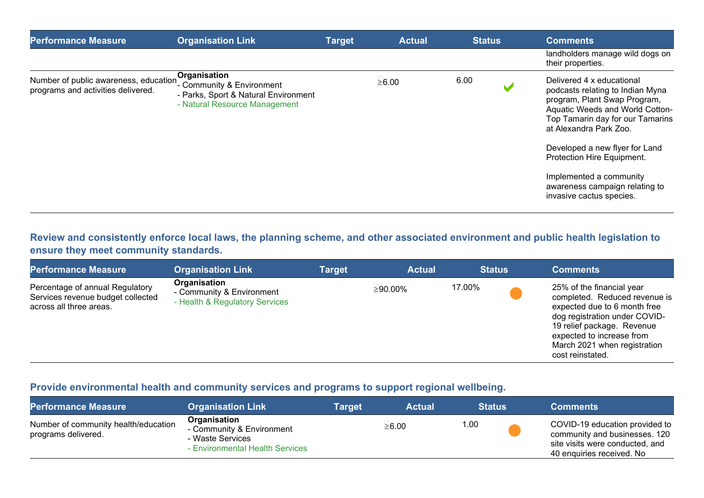| <b>Performance Measure</b>                                                  | <b>Organisation Link</b>                                                                                           | <b>Target</b> | <b>Actual</b> | <b>Status</b> | <b>Comments</b>                                                                                                                                                                                                                                                                                                                                         |
|-----------------------------------------------------------------------------|--------------------------------------------------------------------------------------------------------------------|---------------|---------------|---------------|---------------------------------------------------------------------------------------------------------------------------------------------------------------------------------------------------------------------------------------------------------------------------------------------------------------------------------------------------------|
|                                                                             |                                                                                                                    |               |               |               | landholders manage wild dogs on<br>their properties.                                                                                                                                                                                                                                                                                                    |
| Number of public awareness, education<br>programs and activities delivered. | Organisation<br>- Community & Environment<br>- Parks, Sport & Natural Environment<br>- Natural Resource Management |               | $\geq 6.00$   | 6.00          | Delivered 4 x educational<br>podcasts relating to Indian Myna<br>program, Plant Swap Program,<br>Aquatic Weeds and World Cotton-<br>Top Tamarin day for our Tamarins<br>at Alexandra Park Zoo.<br>Developed a new flyer for Land<br>Protection Hire Equipment.<br>Implemented a community<br>awareness campaign relating to<br>invasive cactus species. |

#### **Review and consistently enforce local laws, the planning scheme, and other associated environment and public health legislation to ensure they meet community standards.**

| <b>Performance Measure</b>                                                                      | <b>Organisation Link</b>                                                    | <b>Target</b> | <b>Actual</b> | <b>Status</b> | <b>Comments</b>                                                                                                                                                                                                                            |
|-------------------------------------------------------------------------------------------------|-----------------------------------------------------------------------------|---------------|---------------|---------------|--------------------------------------------------------------------------------------------------------------------------------------------------------------------------------------------------------------------------------------------|
| Percentage of annual Regulatory<br>Services revenue budget collected<br>across all three areas. | Organisation<br>- Community & Environment<br>- Health & Regulatory Services |               | ≥90.00%       | 17.00%        | 25% of the financial year<br>completed. Reduced revenue is<br>expected due to 6 month free<br>dog registration under COVID-<br>19 relief package. Revenue<br>expected to increase from<br>March 2021 when registration<br>cost reinstated. |

#### **Provide environmental health and community services and programs to support regional wellbeing.**

| <b>Performance Measure</b>                                  | <b>Organisation Link</b>                                                                         | Target | <b>Actual</b> | <b>Status</b> | <b>Comments</b>                                                                                                                 |
|-------------------------------------------------------------|--------------------------------------------------------------------------------------------------|--------|---------------|---------------|---------------------------------------------------------------------------------------------------------------------------------|
| Number of community health/education<br>programs delivered. | Organisation<br>- Community & Environment<br>- Waste Services<br>- Environmental Health Services |        | $\geq 6.00$   | 1.00          | COVID-19 education provided to<br>community and businesses. 120<br>site visits were conducted, and<br>40 enquiries received. No |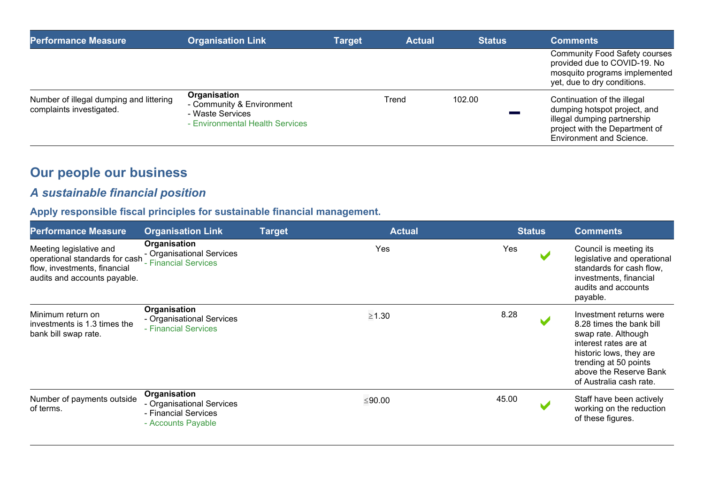| <b>Performance Measure</b>                                          | <b>Organisation Link</b>                                                                         | <b>Target</b> | <b>Actual</b> | <b>Status</b> | <b>Comments</b>                                                                                                                                          |
|---------------------------------------------------------------------|--------------------------------------------------------------------------------------------------|---------------|---------------|---------------|----------------------------------------------------------------------------------------------------------------------------------------------------------|
|                                                                     |                                                                                                  |               |               |               | <b>Community Food Safety courses</b><br>provided due to COVID-19. No<br>mosquito programs implemented<br>yet, due to dry conditions.                     |
| Number of illegal dumping and littering<br>complaints investigated. | Organisation<br>- Community & Environment<br>- Waste Services<br>- Environmental Health Services |               | Trend         | 102.00        | Continuation of the illegal<br>dumping hotspot project, and<br>illegal dumping partnership<br>project with the Department of<br>Environment and Science. |

# **Our people our business**

## *A sustainable financial position*

# **Apply responsible fiscal principles for sustainable financial management.**

| <b>Performance Measure</b>                                                                                                | <b>Organisation Link</b>                                                                | <b>Target</b> | <b>Actual</b> | <b>Status</b> | <b>Comments</b>                                                                                                                                                                                              |
|---------------------------------------------------------------------------------------------------------------------------|-----------------------------------------------------------------------------------------|---------------|---------------|---------------|--------------------------------------------------------------------------------------------------------------------------------------------------------------------------------------------------------------|
| Meeting legislative and<br>operational standards for cash<br>flow, investments, financial<br>audits and accounts payable. | Organisation<br>- Organisational Services<br>- Financial Services                       |               | Yes           | Yes           | Council is meeting its<br>legislative and operational<br>standards for cash flow.<br>investments, financial<br>audits and accounts<br>payable.                                                               |
| Minimum return on<br>investments is 1.3 times the<br>bank bill swap rate.                                                 | Organisation<br>- Organisational Services<br>- Financial Services                       |               | $\geq$ 1.30   | 8.28          | Investment returns were<br>8.28 times the bank bill<br>swap rate. Although<br>interest rates are at<br>historic lows, they are<br>trending at 50 points<br>above the Reserve Bank<br>of Australia cash rate. |
| Number of payments outside<br>of terms.                                                                                   | Organisation<br>- Organisational Services<br>- Financial Services<br>- Accounts Payable |               | ≤90.00        | 45.00         | Staff have been actively<br>working on the reduction<br>of these figures.                                                                                                                                    |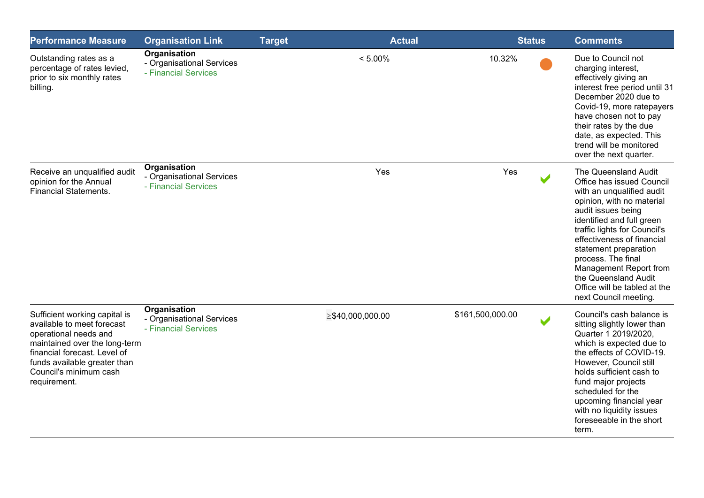| <b>Performance Measure</b>                                                                                                                                                                                                      | <b>Organisation Link</b>                                          | <b>Target</b> | <b>Actual</b>          | <b>Status</b>    |                      | <b>Comments</b>                                                                                                                                                                                                                                                                                                                                                                        |
|---------------------------------------------------------------------------------------------------------------------------------------------------------------------------------------------------------------------------------|-------------------------------------------------------------------|---------------|------------------------|------------------|----------------------|----------------------------------------------------------------------------------------------------------------------------------------------------------------------------------------------------------------------------------------------------------------------------------------------------------------------------------------------------------------------------------------|
| Outstanding rates as a<br>percentage of rates levied,<br>prior to six monthly rates<br>billing.                                                                                                                                 | Organisation<br>- Organisational Services<br>- Financial Services |               | $< 5.00\%$             | 10.32%           |                      | Due to Council not<br>charging interest,<br>effectively giving an<br>interest free period until 31<br>December 2020 due to<br>Covid-19, more ratepayers<br>have chosen not to pay<br>their rates by the due<br>date, as expected. This<br>trend will be monitored<br>over the next quarter.                                                                                            |
| Receive an unqualified audit<br>opinion for the Annual<br><b>Financial Statements.</b>                                                                                                                                          | Organisation<br>- Organisational Services<br>- Financial Services |               | Yes                    | Yes              |                      | The Queensland Audit<br>Office has issued Council<br>with an unqualified audit<br>opinion, with no material<br>audit issues being<br>identified and full green<br>traffic lights for Council's<br>effectiveness of financial<br>statement preparation<br>process. The final<br>Management Report from<br>the Queensland Audit<br>Office will be tabled at the<br>next Council meeting. |
| Sufficient working capital is<br>available to meet forecast<br>operational needs and<br>maintained over the long-term<br>financial forecast. Level of<br>funds available greater than<br>Council's minimum cash<br>requirement. | Organisation<br>- Organisational Services<br>- Financial Services |               | $\geq$ \$40,000,000.00 | \$161,500,000.00 | $\blacktriangledown$ | Council's cash balance is<br>sitting slightly lower than<br>Quarter 1 2019/2020,<br>which is expected due to<br>the effects of COVID-19.<br>However, Council still<br>holds sufficient cash to<br>fund major projects<br>scheduled for the<br>upcoming financial year<br>with no liquidity issues<br>foreseeable in the short<br>term.                                                 |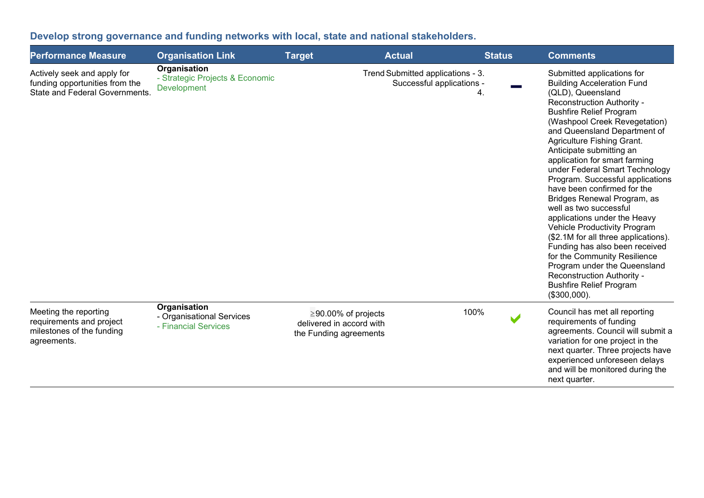## **Develop strong governance and funding networks with local, state and national stakeholders.**

| <b>Performance Measure</b>                                                                             | <b>Organisation Link</b>                                          | <b>Target</b>                                                                   | <b>Actual</b>                                                  |      | <b>Status</b> | <b>Comments</b>                                                                                                                                                                                                                                                                                                                                                                                                                                                                                                                                                                                                                                                                                                                                                            |
|--------------------------------------------------------------------------------------------------------|-------------------------------------------------------------------|---------------------------------------------------------------------------------|----------------------------------------------------------------|------|---------------|----------------------------------------------------------------------------------------------------------------------------------------------------------------------------------------------------------------------------------------------------------------------------------------------------------------------------------------------------------------------------------------------------------------------------------------------------------------------------------------------------------------------------------------------------------------------------------------------------------------------------------------------------------------------------------------------------------------------------------------------------------------------------|
| Actively seek and apply for<br>funding opportunities from the<br><b>State and Federal Governments.</b> | Organisation<br>- Strategic Projects & Economic<br>Development    |                                                                                 | Trend Submitted applications - 3.<br>Successful applications - | 4.   |               | Submitted applications for<br><b>Building Acceleration Fund</b><br>(QLD), Queensland<br>Reconstruction Authority -<br><b>Bushfire Relief Program</b><br>(Washpool Creek Revegetation)<br>and Queensland Department of<br>Agriculture Fishing Grant.<br>Anticipate submitting an<br>application for smart farming<br>under Federal Smart Technology<br>Program. Successful applications<br>have been confirmed for the<br>Bridges Renewal Program, as<br>well as two successful<br>applications under the Heavy<br>Vehicle Productivity Program<br>(\$2.1M for all three applications).<br>Funding has also been received<br>for the Community Resilience<br>Program under the Queensland<br>Reconstruction Authority -<br><b>Bushfire Relief Program</b><br>$($300,000)$ . |
| Meeting the reporting<br>requirements and project<br>milestones of the funding<br>agreements.          | Organisation<br>- Organisational Services<br>- Financial Services | $\geq$ 90.00% of projects<br>delivered in accord with<br>the Funding agreements |                                                                | 100% |               | Council has met all reporting<br>requirements of funding<br>agreements. Council will submit a<br>variation for one project in the<br>next quarter. Three projects have<br>experienced unforeseen delays<br>and will be monitored during the<br>next quarter.                                                                                                                                                                                                                                                                                                                                                                                                                                                                                                               |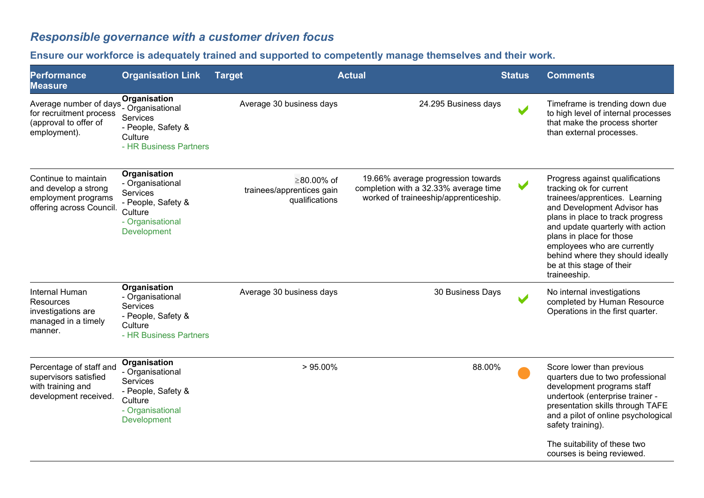## *Responsible governance with a customer driven focus*

## **Ensure our workforce is adequately trained and supported to competently manage themselves and their work.**

| <b>Organisation Link</b>                                                                                                       | <b>Target</b>          | <b>Actual</b> |                                                                                                                                 |                       | <b>Comments</b>                                                                                                                                                                                                                                                                                                                                 |
|--------------------------------------------------------------------------------------------------------------------------------|------------------------|---------------|---------------------------------------------------------------------------------------------------------------------------------|-----------------------|-------------------------------------------------------------------------------------------------------------------------------------------------------------------------------------------------------------------------------------------------------------------------------------------------------------------------------------------------|
| <b>Organisation</b><br>- Organisational<br>Services<br>- People, Safety &<br>Culture<br>- HR Business Partners                 |                        |               |                                                                                                                                 | $\blacktriangleright$ | Timeframe is trending down due<br>to high level of internal processes<br>that make the process shorter<br>than external processes.                                                                                                                                                                                                              |
| Organisation<br>- Organisational<br>Services<br>- People, Safety &<br>Culture<br>- Organisational<br><b>Development</b>        |                        |               |                                                                                                                                 | $\blacktriangleright$ | Progress against qualifications<br>tracking ok for current<br>trainees/apprentices. Learning<br>and Development Advisor has<br>plans in place to track progress<br>and update quarterly with action<br>plans in place for those<br>employees who are currently<br>behind where they should ideally<br>be at this stage of their<br>traineeship. |
| Organisation<br>- Organisational<br><b>Services</b><br>- People, Safety &<br>Culture<br>- HR Business Partners                 |                        |               |                                                                                                                                 |                       | No internal investigations<br>completed by Human Resource<br>Operations in the first quarter.                                                                                                                                                                                                                                                   |
| Organisation<br>- Organisational<br><b>Services</b><br>- People, Safety &<br>Culture<br>- Organisational<br><b>Development</b> |                        |               |                                                                                                                                 |                       | Score lower than previous<br>quarters due to two professional<br>development programs staff<br>undertook (enterprise trainer -<br>presentation skills through TAFE<br>and a pilot of online psychological<br>safety training).<br>The suitability of these two<br>courses is being reviewed.                                                    |
|                                                                                                                                | Average number of days |               | Average 30 business days<br>≥80.00% of<br>trainees/apprentices gain<br>qualifications<br>Average 30 business days<br>$>95.00\%$ |                       | <b>Status</b><br>24.295 Business days<br>19.66% average progression towards<br>completion with a 32.33% average time<br>worked of traineeship/apprenticeship.<br>30 Business Days<br>88.00%                                                                                                                                                     |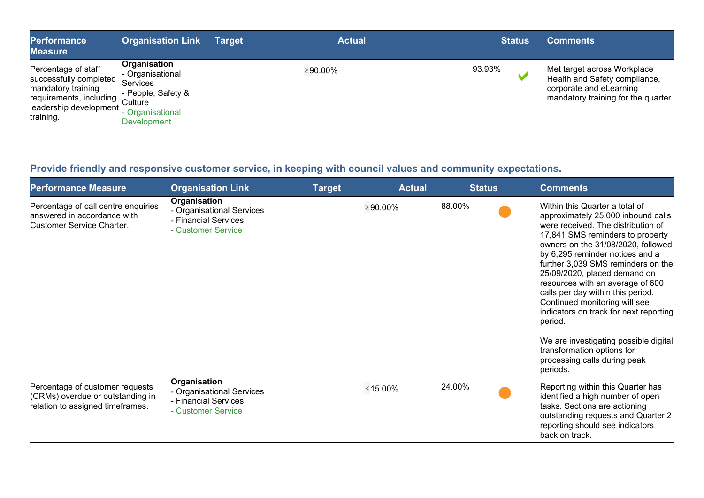| <b>Performance</b><br><b>Measure</b>                                                                                                  | <b>Organisation Link</b>                                                                                                     | <b>Target</b> | <b>Actual</b> | <b>Status</b> | <b>Comments</b>                                                                                                                |
|---------------------------------------------------------------------------------------------------------------------------------------|------------------------------------------------------------------------------------------------------------------------------|---------------|---------------|---------------|--------------------------------------------------------------------------------------------------------------------------------|
| Percentage of staff<br>successfully completed<br>mandatory training<br>requirements, including<br>leadership development<br>training. | Organisation<br>- Organisational<br><b>Services</b><br>- People, Safety &<br>Culture<br>Organisational<br><b>Development</b> |               | ≥90.00%       | 93.93%        | Met target across Workplace<br>Health and Safety compliance,<br>corporate and eLearning<br>mandatory training for the quarter. |

## **Provide friendly and responsive customer service, in keeping with council values and community expectations.**

| <b>Performance Measure</b>                                                                              | <b>Organisation Link</b>                                                                | <b>Target</b> | <b>Actual</b>  | <b>Status</b> | <b>Comments</b>                                                                                                                                                                                                                                                                                                                                                                                                                                                                                                                                                                 |
|---------------------------------------------------------------------------------------------------------|-----------------------------------------------------------------------------------------|---------------|----------------|---------------|---------------------------------------------------------------------------------------------------------------------------------------------------------------------------------------------------------------------------------------------------------------------------------------------------------------------------------------------------------------------------------------------------------------------------------------------------------------------------------------------------------------------------------------------------------------------------------|
| Percentage of call centre enquiries<br>answered in accordance with<br><b>Customer Service Charter.</b>  | Organisation<br>- Organisational Services<br>- Financial Services<br>- Customer Service |               | $\geq 90.00\%$ | 88.00%        | Within this Quarter a total of<br>approximately 25,000 inbound calls<br>were received. The distribution of<br>17,841 SMS reminders to property<br>owners on the 31/08/2020, followed<br>by 6,295 reminder notices and a<br>further 3,039 SMS reminders on the<br>25/09/2020, placed demand on<br>resources with an average of 600<br>calls per day within this period.<br>Continued monitoring will see<br>indicators on track for next reporting<br>period.<br>We are investigating possible digital<br>transformation options for<br>processing calls during peak<br>periods. |
| Percentage of customer requests<br>(CRMs) overdue or outstanding in<br>relation to assigned timeframes. | Organisation<br>- Organisational Services<br>- Financial Services<br>- Customer Service |               | ≤15.00%        | 24.00%        | Reporting within this Quarter has<br>identified a high number of open<br>tasks. Sections are actioning<br>outstanding requests and Quarter 2<br>reporting should see indicators<br>back on track.                                                                                                                                                                                                                                                                                                                                                                               |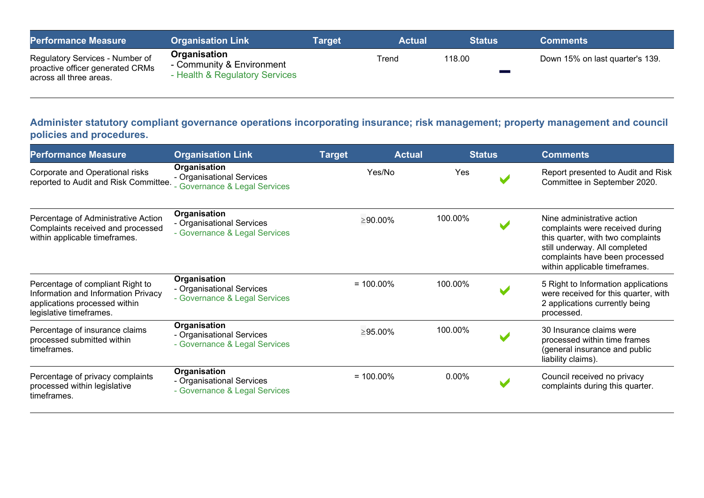| <b>Performance Measure</b>                                                                     | <b>Organisation Link</b>                                                    | <b>Target</b> | <b>Actual</b> | <b>Status</b> | <b>Comments</b>                 |
|------------------------------------------------------------------------------------------------|-----------------------------------------------------------------------------|---------------|---------------|---------------|---------------------------------|
| Regulatory Services - Number of<br>proactive officer generated CRMs<br>across all three areas. | Organisation<br>- Community & Environment<br>- Health & Regulatory Services |               | Trend         | 118.00        | Down 15% on last quarter's 139. |

#### **Administer statutory compliant governance operations incorporating insurance; risk management; property management and council policies and procedures.**

| <b>Performance Measure</b>                                                                                                          | <b>Organisation Link</b>                                                   | <b>Target</b>  | <b>Actual</b> | <b>Status</b> | <b>Comments</b>                                                                                                                                                                                        |
|-------------------------------------------------------------------------------------------------------------------------------------|----------------------------------------------------------------------------|----------------|---------------|---------------|--------------------------------------------------------------------------------------------------------------------------------------------------------------------------------------------------------|
| Corporate and Operational risks<br>reported to Audit and Risk Committee.                                                            | Organisation<br>- Organisational Services<br>- Governance & Legal Services | Yes/No         |               | Yes           | Report presented to Audit and Risk<br>Committee in September 2020.                                                                                                                                     |
| Percentage of Administrative Action<br>Complaints received and processed<br>within applicable timeframes.                           | Organisation<br>- Organisational Services<br>- Governance & Legal Services | $\geq 90.00\%$ | 100.00%       |               | Nine administrative action<br>complaints were received during<br>this quarter, with two complaints<br>still underway. All completed<br>complaints have been processed<br>within applicable timeframes. |
| Percentage of compliant Right to<br>Information and Information Privacy<br>applications processed within<br>legislative timeframes. | Organisation<br>- Organisational Services<br>- Governance & Legal Services | $= 100.00\%$   | 100.00%       |               | 5 Right to Information applications<br>were received for this quarter, with<br>2 applications currently being<br>processed.                                                                            |
| Percentage of insurance claims<br>processed submitted within<br>timeframes.                                                         | Organisation<br>- Organisational Services<br>- Governance & Legal Services | $\geq$ 95.00%  | 100.00%       |               | 30 Insurance claims were<br>processed within time frames<br>(general insurance and public<br>liability claims).                                                                                        |
| Percentage of privacy complaints<br>processed within legislative<br>timeframes.                                                     | Organisation<br>- Organisational Services<br>- Governance & Legal Services | $= 100.00\%$   | $0.00\%$      |               | Council received no privacy<br>complaints during this quarter.                                                                                                                                         |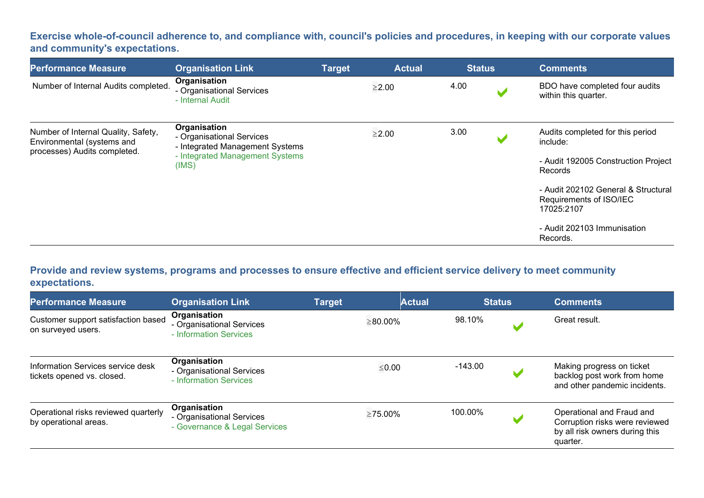**Exercise whole-of-council adherence to, and compliance with, council's policies and procedures, in keeping with our corporate values and community's expectations.**

| <b>Performance Measure</b>                                                                        | <b>Organisation Link</b>                                                                                                 | <b>Target</b> | <b>Actual</b> |      | <b>Status</b>         | <b>Comments</b>                                                                                                                                                                                                           |  |
|---------------------------------------------------------------------------------------------------|--------------------------------------------------------------------------------------------------------------------------|---------------|---------------|------|-----------------------|---------------------------------------------------------------------------------------------------------------------------------------------------------------------------------------------------------------------------|--|
| Number of Internal Audits completed.                                                              | Organisation<br>- Organisational Services<br>- Internal Audit                                                            |               | $\geq$ 2.00   | 4.00 | $\blacktriangleright$ | BDO have completed four audits<br>within this quarter.                                                                                                                                                                    |  |
| Number of Internal Quality, Safety,<br>Environmental (systems and<br>processes) Audits completed. | Organisation<br>- Organisational Services<br>- Integrated Management Systems<br>- Integrated Management Systems<br>(IMS) |               | $\geq$ 2.00   | 3.00 | $\mathbf{M}$          | Audits completed for this period<br>include:<br>- Audit 192005 Construction Project<br>Records<br>- Audit 202102 General & Structural<br>Requirements of ISO/IEC<br>17025:2107<br>- Audit 202103 Immunisation<br>Records. |  |

**Provide and review systems, programs and processes to ensure effective and efficient service delivery to meet community expectations.**

| <b>Performance Measure</b>                                      | <b>Organisation Link</b>                                                   | <b>Target</b> | <b>Actual</b>  | <b>Status</b> |   | <b>Comments</b>                                                                                           |
|-----------------------------------------------------------------|----------------------------------------------------------------------------|---------------|----------------|---------------|---|-----------------------------------------------------------------------------------------------------------|
| Customer support satisfaction based<br>on surveyed users.       | Organisation<br>- Organisational Services<br>- Information Services        |               | $\geq 80.00\%$ | 98.10%        |   | Great result.                                                                                             |
| Information Services service desk<br>tickets opened vs. closed. | Organisation<br>- Organisational Services<br>- Information Services        |               | $\leq 0.00$    | $-143.00$     | M | Making progress on ticket<br>backlog post work from home<br>and other pandemic incidents.                 |
| Operational risks reviewed quarterly<br>by operational areas.   | Organisation<br>- Organisational Services<br>- Governance & Legal Services |               | $\geq$ 75.00%  | 100.00%       | v | Operational and Fraud and<br>Corruption risks were reviewed<br>by all risk owners during this<br>quarter. |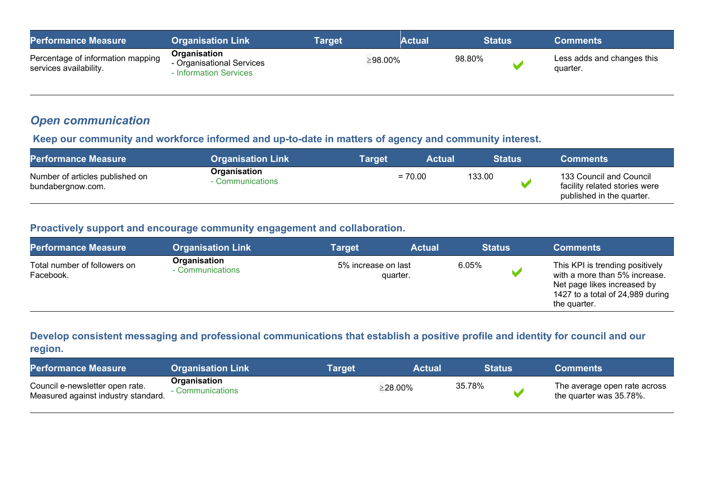| <b>Performance Measure</b>                                  | <b>Organisation Link</b>                                                        | Target | Actual  | <b>Status</b> | <b>Comments</b>                        |
|-------------------------------------------------------------|---------------------------------------------------------------------------------|--------|---------|---------------|----------------------------------------|
| Percentage of information mapping<br>services availability. | <b>Organisation</b><br>- Organisational Services<br><b>Information Services</b> |        | ≥98.00% | 98.80%        | Less adds and changes this<br>quarter. |

## *Open communication*

#### **Keep our community and workforce informed and up-to-date in matters of agency and community interest.**

| <b>Performance Measure</b>                           | <b>Organisation Link</b>         | Tarqet | <b>Actual</b> | <b>Status</b> | <b>Comments</b>                                                                       |
|------------------------------------------------------|----------------------------------|--------|---------------|---------------|---------------------------------------------------------------------------------------|
| Number of articles published on<br>bundabergnow.com. | Organisation<br>- Communications |        | $= 70.00$     | 133.00        | 133 Council and Council<br>facility related stories were<br>published in the quarter. |

#### **Proactively support and encourage community engagement and collaboration.**

| <b>Performance Measure</b>                | <b>Organisation Link</b>         | <b>Target</b>                   | <b>Actual</b> | <b>Status</b> | <b>Comments</b>                                                                                                                                     |
|-------------------------------------------|----------------------------------|---------------------------------|---------------|---------------|-----------------------------------------------------------------------------------------------------------------------------------------------------|
| Total number of followers on<br>Facebook. | Organisation<br>- Communications | 5% increase on last<br>quarter. |               | 6.05%         | This KPI is trending positively<br>with a more than 5% increase.<br>Net page likes increased by<br>1427 to a total of 24,989 during<br>the quarter. |

#### **Develop consistent messaging and professional communications that establish a positive profile and identity for council and our region.**

| <b>Performance Measure</b>                                             | <b>Organisation Link</b>       | Tarɑet | Actual  |        | <b>Status</b> | <b>Comments</b>                                         |
|------------------------------------------------------------------------|--------------------------------|--------|---------|--------|---------------|---------------------------------------------------------|
| Council e-newsletter open rate.<br>Measured against industry standard. | Organisation<br>Communications |        | ≥28.00% | 35.78% |               | The average open rate across<br>the quarter was 35.78%. |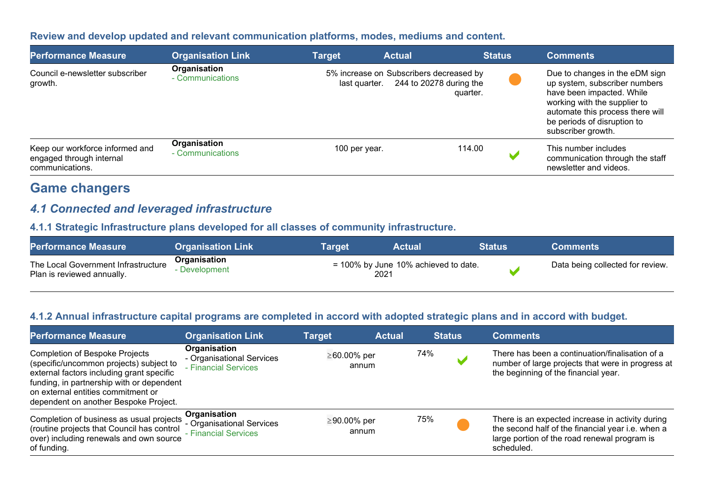#### **Review and develop updated and relevant communication platforms, modes, mediums and content.**

| <b>Performance Measure</b>                                                     | <b>Organisation Link</b>         | <b>Target</b> | <b>Actual</b>                                            | <b>Status</b>                       | <b>Comments</b>                                                                                                                                                                                                       |
|--------------------------------------------------------------------------------|----------------------------------|---------------|----------------------------------------------------------|-------------------------------------|-----------------------------------------------------------------------------------------------------------------------------------------------------------------------------------------------------------------------|
| Council e-newsletter subscriber<br>growth.                                     | Organisation<br>- Communications |               | 5% increase on Subscribers decreased by<br>last quarter. | 244 to 20278 during the<br>quarter. | Due to changes in the eDM sign<br>up system, subscriber numbers<br>have been impacted. While<br>working with the supplier to<br>automate this process there will<br>be periods of disruption to<br>subscriber growth. |
| Keep our workforce informed and<br>engaged through internal<br>communications. | Organisation<br>- Communications | 100 per year. |                                                          | 114.00                              | This number includes<br>communication through the staff<br>newsletter and videos.                                                                                                                                     |

# **Game changers**

### *4.1 Connected and leveraged infrastructure*

#### **4.1.1 Strategic Infrastructure plans developed for all classes of community infrastructure.**

| <b>Performance Measure</b>                                        | <b>Organisation Link</b>    | Target | <b>Actual</b>                           | Status | <b>Comments</b>                  |
|-------------------------------------------------------------------|-----------------------------|--------|-----------------------------------------|--------|----------------------------------|
| The Local Government Infrastructure<br>Plan is reviewed annually. | Organisation<br>Development | 2021   | $= 100\%$ by June 10% achieved to date. |        | Data being collected for review. |

#### **4.1.2 Annual infrastructure capital programs are completed in accord with adopted strategic plans and in accord with budget.**

| <b>Performance Measure</b>                                                                                                                                                                                                                                | <b>Organisation Link</b>                                          | Target               | <b>Actual</b> | <b>Status</b> | <b>Comments</b>                                                                                                                                                     |
|-----------------------------------------------------------------------------------------------------------------------------------------------------------------------------------------------------------------------------------------------------------|-------------------------------------------------------------------|----------------------|---------------|---------------|---------------------------------------------------------------------------------------------------------------------------------------------------------------------|
| <b>Completion of Bespoke Projects</b><br>(specific/uncommon projects) subject to<br>external factors including grant specific<br>funding, in partnership with or dependent<br>on external entities commitment or<br>dependent on another Bespoke Project. | Organisation<br>- Organisational Services<br>- Financial Services | ≥60.00% per<br>annum |               | 74%           | There has been a continuation/finalisation of a<br>number of large projects that were in progress at<br>the beginning of the financial year.                        |
| Completion of business as usual projects<br>(routine projects that Council has control<br>over) including renewals and own source<br>of funding.                                                                                                          | Organisation<br>- Organisational Services<br>- Financial Services | ≥90.00% per<br>annum |               | 75%           | There is an expected increase in activity during<br>the second half of the financial year i.e. when a<br>large portion of the road renewal program is<br>scheduled. |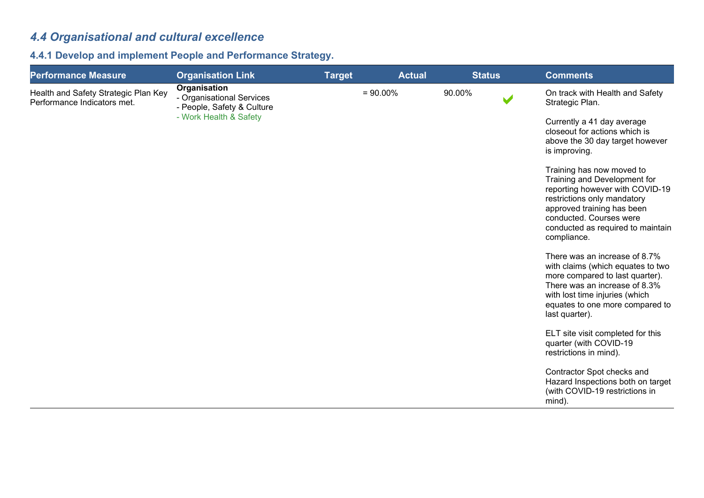# *4.4 Organisational and cultural excellence*

## **4.4.1 Develop and implement People and Performance Strategy.**

| <b>Performance Measure</b>                                          | <b>Organisation Link</b>                                                | <b>Target</b> | <b>Actual</b> | <b>Status</b> | <b>Comments</b>                                                                                                                                                                                                                          |
|---------------------------------------------------------------------|-------------------------------------------------------------------------|---------------|---------------|---------------|------------------------------------------------------------------------------------------------------------------------------------------------------------------------------------------------------------------------------------------|
| Health and Safety Strategic Plan Key<br>Performance Indicators met. | Organisation<br>- Organisational Services<br>- People, Safety & Culture |               | $= 90.00\%$   | 90.00%        | On track with Health and Safety<br>Strategic Plan.                                                                                                                                                                                       |
|                                                                     | - Work Health & Safety                                                  |               |               |               | Currently a 41 day average<br>closeout for actions which is<br>above the 30 day target however<br>is improving.                                                                                                                          |
|                                                                     |                                                                         |               |               |               | Training has now moved to<br>Training and Development for<br>reporting however with COVID-19<br>restrictions only mandatory<br>approved training has been<br>conducted. Courses were<br>conducted as required to maintain<br>compliance. |
|                                                                     |                                                                         |               |               |               | There was an increase of 8.7%<br>with claims (which equates to two<br>more compared to last quarter).<br>There was an increase of 8.3%<br>with lost time injuries (which<br>equates to one more compared to<br>last quarter).            |
|                                                                     |                                                                         |               |               |               | ELT site visit completed for this<br>quarter (with COVID-19<br>restrictions in mind).                                                                                                                                                    |
|                                                                     |                                                                         |               |               |               | Contractor Spot checks and<br>Hazard Inspections both on target<br>(with COVID-19 restrictions in<br>mind).                                                                                                                              |